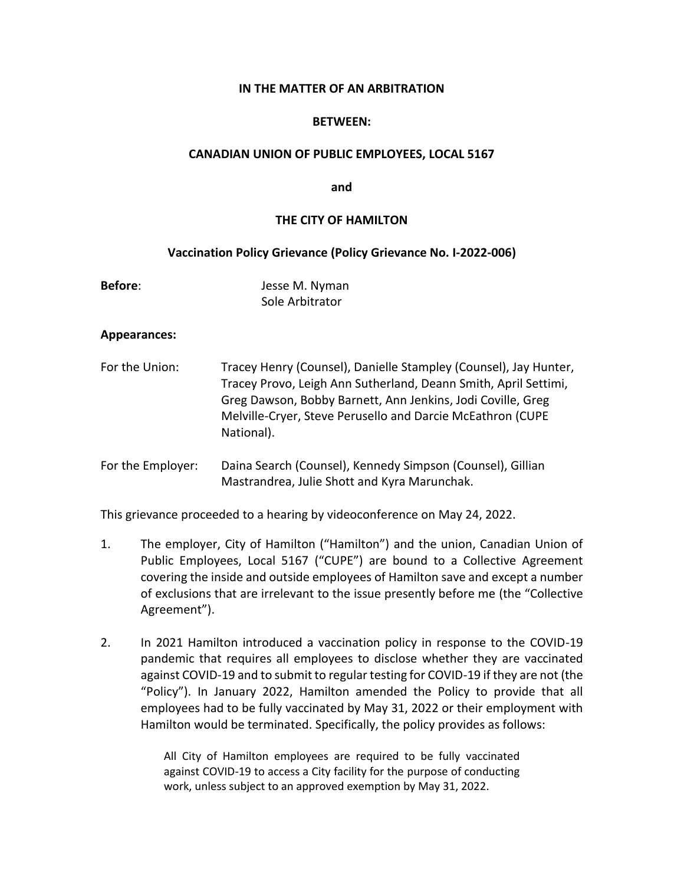# **IN THE MATTER OF AN ARBITRATION**

# **BETWEEN:**

## **CANADIAN UNION OF PUBLIC EMPLOYEES, LOCAL 5167**

**and**

# **THE CITY OF HAMILTON**

## **Vaccination Policy Grievance (Policy Grievance No. I-2022-006)**

| <b>Before:</b> | Jesse M. Nyman  |
|----------------|-----------------|
|                | Sole Arbitrator |

#### **Appearances:**

- For the Union: Tracey Henry (Counsel), Danielle Stampley (Counsel), Jay Hunter, Tracey Provo, Leigh Ann Sutherland, Deann Smith, April Settimi, Greg Dawson, Bobby Barnett, Ann Jenkins, Jodi Coville, Greg Melville-Cryer, Steve Perusello and Darcie McEathron (CUPE National).
- For the Employer: Daina Search (Counsel), Kennedy Simpson (Counsel), Gillian Mastrandrea, Julie Shott and Kyra Marunchak.

This grievance proceeded to a hearing by videoconference on May 24, 2022.

- 1. The employer, City of Hamilton ("Hamilton") and the union, Canadian Union of Public Employees, Local 5167 ("CUPE") are bound to a Collective Agreement covering the inside and outside employees of Hamilton save and except a number of exclusions that are irrelevant to the issue presently before me (the "Collective Agreement").
- 2. In 2021 Hamilton introduced a vaccination policy in response to the COVID-19 pandemic that requires all employees to disclose whether they are vaccinated against COVID-19 and to submit to regular testing for COVID-19 if they are not (the "Policy"). In January 2022, Hamilton amended the Policy to provide that all employees had to be fully vaccinated by May 31, 2022 or their employment with Hamilton would be terminated. Specifically, the policy provides as follows:

All City of Hamilton employees are required to be fully vaccinated against COVID-19 to access a City facility for the purpose of conducting work, unless subject to an approved exemption by May 31, 2022.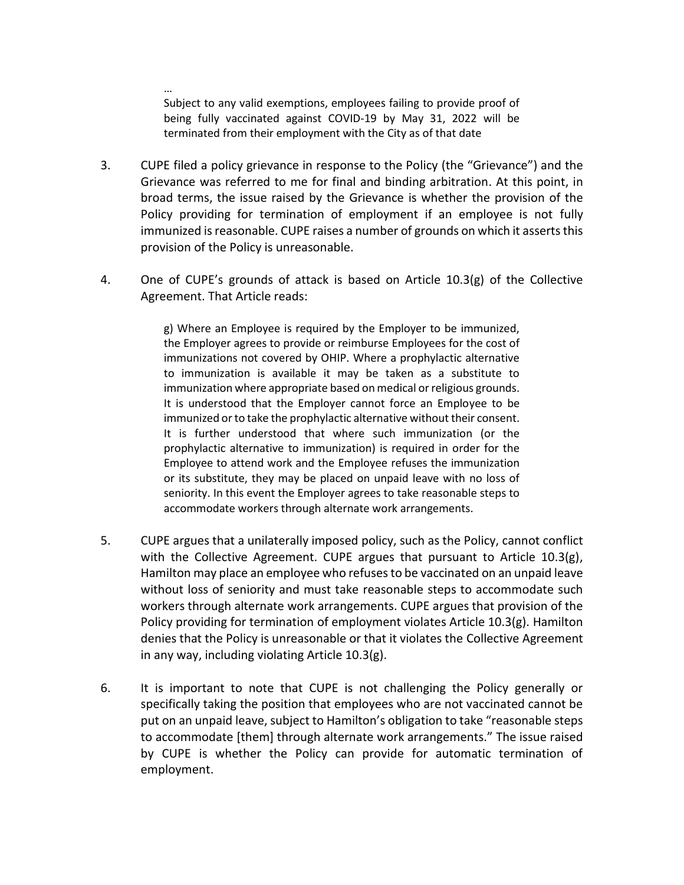Subject to any valid exemptions, employees failing to provide proof of being fully vaccinated against COVID-19 by May 31, 2022 will be terminated from their employment with the City as of that date

…

- 3. CUPE filed a policy grievance in response to the Policy (the "Grievance") and the Grievance was referred to me for final and binding arbitration. At this point, in broad terms, the issue raised by the Grievance is whether the provision of the Policy providing for termination of employment if an employee is not fully immunized is reasonable. CUPE raises a number of grounds on which it asserts this provision of the Policy is unreasonable.
- 4. One of CUPE's grounds of attack is based on Article 10.3(g) of the Collective Agreement. That Article reads:

g) Where an Employee is required by the Employer to be immunized, the Employer agrees to provide or reimburse Employees for the cost of immunizations not covered by OHIP. Where a prophylactic alternative to immunization is available it may be taken as a substitute to immunization where appropriate based on medical or religious grounds. It is understood that the Employer cannot force an Employee to be immunized or to take the prophylactic alternative without their consent. It is further understood that where such immunization (or the prophylactic alternative to immunization) is required in order for the Employee to attend work and the Employee refuses the immunization or its substitute, they may be placed on unpaid leave with no loss of seniority. In this event the Employer agrees to take reasonable steps to accommodate workers through alternate work arrangements.

- 5. CUPE argues that a unilaterally imposed policy, such as the Policy, cannot conflict with the Collective Agreement. CUPE argues that pursuant to Article 10.3(g), Hamilton may place an employee who refuses to be vaccinated on an unpaid leave without loss of seniority and must take reasonable steps to accommodate such workers through alternate work arrangements. CUPE argues that provision of the Policy providing for termination of employment violates Article 10.3(g). Hamilton denies that the Policy is unreasonable or that it violates the Collective Agreement in any way, including violating Article 10.3(g).
- 6. It is important to note that CUPE is not challenging the Policy generally or specifically taking the position that employees who are not vaccinated cannot be put on an unpaid leave, subject to Hamilton's obligation to take "reasonable steps to accommodate [them] through alternate work arrangements." The issue raised by CUPE is whether the Policy can provide for automatic termination of employment.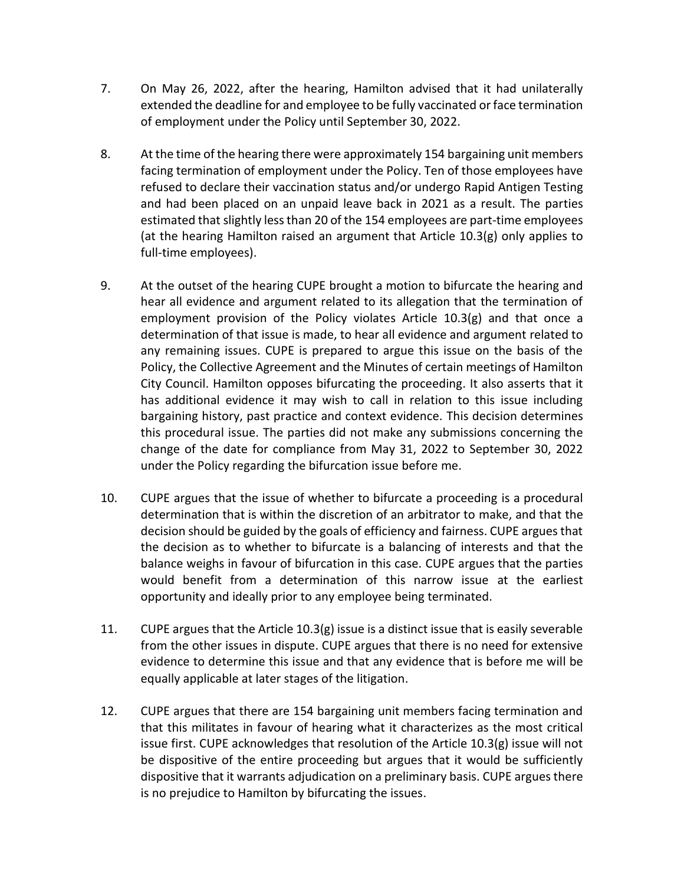- 7. On May 26, 2022, after the hearing, Hamilton advised that it had unilaterally extended the deadline for and employee to be fully vaccinated or face termination of employment under the Policy until September 30, 2022.
- 8. At the time of the hearing there were approximately 154 bargaining unit members facing termination of employment under the Policy. Ten of those employees have refused to declare their vaccination status and/or undergo Rapid Antigen Testing and had been placed on an unpaid leave back in 2021 as a result. The parties estimated that slightly less than 20 of the 154 employees are part-time employees (at the hearing Hamilton raised an argument that Article 10.3(g) only applies to full-time employees).
- 9. At the outset of the hearing CUPE brought a motion to bifurcate the hearing and hear all evidence and argument related to its allegation that the termination of employment provision of the Policy violates Article 10.3(g) and that once a determination of that issue is made, to hear all evidence and argument related to any remaining issues. CUPE is prepared to argue this issue on the basis of the Policy, the Collective Agreement and the Minutes of certain meetings of Hamilton City Council. Hamilton opposes bifurcating the proceeding. It also asserts that it has additional evidence it may wish to call in relation to this issue including bargaining history, past practice and context evidence. This decision determines this procedural issue. The parties did not make any submissions concerning the change of the date for compliance from May 31, 2022 to September 30, 2022 under the Policy regarding the bifurcation issue before me.
- 10. CUPE argues that the issue of whether to bifurcate a proceeding is a procedural determination that is within the discretion of an arbitrator to make, and that the decision should be guided by the goals of efficiency and fairness. CUPE argues that the decision as to whether to bifurcate is a balancing of interests and that the balance weighs in favour of bifurcation in this case. CUPE argues that the parties would benefit from a determination of this narrow issue at the earliest opportunity and ideally prior to any employee being terminated.
- 11. CUPE argues that the Article 10.3(g) issue is a distinct issue that is easily severable from the other issues in dispute. CUPE argues that there is no need for extensive evidence to determine this issue and that any evidence that is before me will be equally applicable at later stages of the litigation.
- 12. CUPE argues that there are 154 bargaining unit members facing termination and that this militates in favour of hearing what it characterizes as the most critical issue first. CUPE acknowledges that resolution of the Article 10.3(g) issue will not be dispositive of the entire proceeding but argues that it would be sufficiently dispositive that it warrants adjudication on a preliminary basis. CUPE argues there is no prejudice to Hamilton by bifurcating the issues.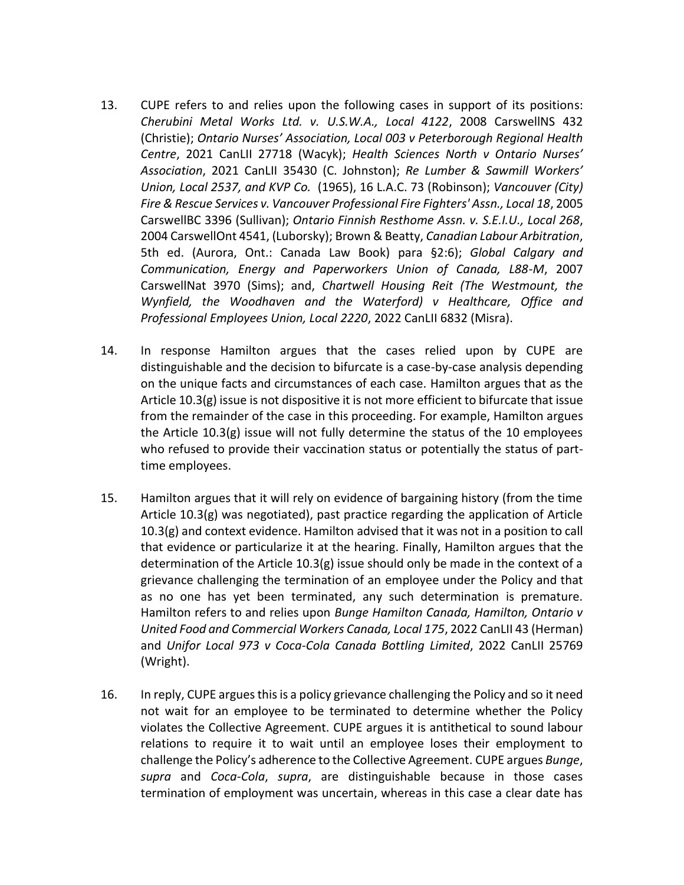- 13. CUPE refers to and relies upon the following cases in support of its positions: *Cherubini Metal Works Ltd. v. U.S.W.A., Local 4122*, 2008 CarswellNS 432 (Christie); *Ontario Nurses' Association, Local 003 v Peterborough Regional Health Centre*, 2021 CanLII 27718 (Wacyk); *Health Sciences North v Ontario Nurses' Association*, 2021 CanLII 35430 (C. Johnston); *Re Lumber & Sawmill Workers' Union, Local 2537, and KVP Co.* (1965), 16 L.A.C. 73 (Robinson); *Vancouver (City) Fire & Rescue Services v. Vancouver Professional Fire Fighters' Assn., Local 18*, 2005 CarswellBC 3396 (Sullivan); *Ontario Finnish Resthome Assn. v. S.E.I.U., Local 268*, 2004 CarswellOnt 4541, (Luborsky); Brown & Beatty, *Canadian Labour Arbitration*, 5th ed. (Aurora, Ont.: Canada Law Book) para §2:6); *Global Calgary and Communication, Energy and Paperworkers Union of Canada, L88-M*, 2007 CarswellNat 3970 (Sims); and, *Chartwell Housing Reit (The Westmount, the Wynfield, the Woodhaven and the Waterford) v Healthcare, Office and Professional Employees Union, Local 2220*, 2022 CanLII 6832 (Misra).
- 14. In response Hamilton argues that the cases relied upon by CUPE are distinguishable and the decision to bifurcate is a case-by-case analysis depending on the unique facts and circumstances of each case. Hamilton argues that as the Article 10.3(g) issue is not dispositive it is not more efficient to bifurcate that issue from the remainder of the case in this proceeding. For example, Hamilton argues the Article 10.3(g) issue will not fully determine the status of the 10 employees who refused to provide their vaccination status or potentially the status of parttime employees.
- 15. Hamilton argues that it will rely on evidence of bargaining history (from the time Article 10.3(g) was negotiated), past practice regarding the application of Article  $10.3(g)$  and context evidence. Hamilton advised that it was not in a position to call that evidence or particularize it at the hearing. Finally, Hamilton argues that the determination of the Article 10.3(g) issue should only be made in the context of a grievance challenging the termination of an employee under the Policy and that as no one has yet been terminated, any such determination is premature. Hamilton refers to and relies upon *Bunge Hamilton Canada, Hamilton, Ontario v United Food and Commercial Workers Canada, Local 175*, 2022 CanLII 43 (Herman) and *Unifor Local 973 v Coca-Cola Canada Bottling Limited*, 2022 CanLII 25769 (Wright).
- 16. In reply, CUPE argues this is a policy grievance challenging the Policy and so it need not wait for an employee to be terminated to determine whether the Policy violates the Collective Agreement. CUPE argues it is antithetical to sound labour relations to require it to wait until an employee loses their employment to challenge the Policy's adherence to the Collective Agreement. CUPE argues *Bunge*, *supra* and *Coca-Cola*, *supra*, are distinguishable because in those cases termination of employment was uncertain, whereas in this case a clear date has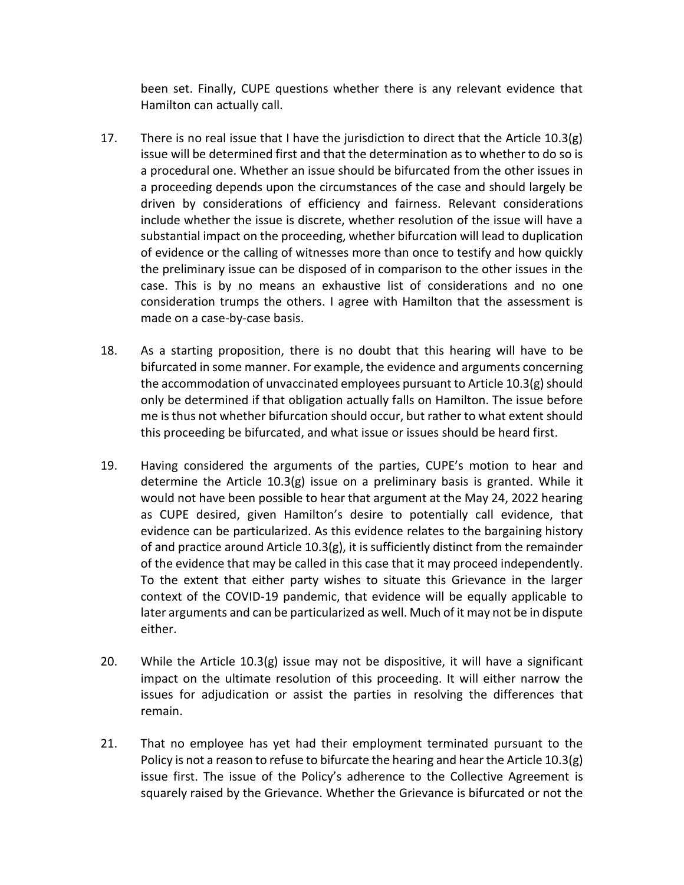been set. Finally, CUPE questions whether there is any relevant evidence that Hamilton can actually call.

- 17. There is no real issue that I have the jurisdiction to direct that the Article 10.3(g) issue will be determined first and that the determination as to whether to do so is a procedural one. Whether an issue should be bifurcated from the other issues in a proceeding depends upon the circumstances of the case and should largely be driven by considerations of efficiency and fairness. Relevant considerations include whether the issue is discrete, whether resolution of the issue will have a substantial impact on the proceeding, whether bifurcation will lead to duplication of evidence or the calling of witnesses more than once to testify and how quickly the preliminary issue can be disposed of in comparison to the other issues in the case. This is by no means an exhaustive list of considerations and no one consideration trumps the others. I agree with Hamilton that the assessment is made on a case-by-case basis.
- 18. As a starting proposition, there is no doubt that this hearing will have to be bifurcated in some manner. For example, the evidence and arguments concerning the accommodation of unvaccinated employees pursuant to Article  $10.3(g)$  should only be determined if that obligation actually falls on Hamilton. The issue before me is thus not whether bifurcation should occur, but rather to what extent should this proceeding be bifurcated, and what issue or issues should be heard first.
- 19. Having considered the arguments of the parties, CUPE's motion to hear and determine the Article 10.3(g) issue on a preliminary basis is granted. While it would not have been possible to hear that argument at the May 24, 2022 hearing as CUPE desired, given Hamilton's desire to potentially call evidence, that evidence can be particularized. As this evidence relates to the bargaining history of and practice around Article 10.3(g), it is sufficiently distinct from the remainder of the evidence that may be called in this case that it may proceed independently. To the extent that either party wishes to situate this Grievance in the larger context of the COVID-19 pandemic, that evidence will be equally applicable to later arguments and can be particularized as well. Much of it may not be in dispute either.
- 20. While the Article 10.3(g) issue may not be dispositive, it will have a significant impact on the ultimate resolution of this proceeding. It will either narrow the issues for adjudication or assist the parties in resolving the differences that remain.
- 21. That no employee has yet had their employment terminated pursuant to the Policy is not a reason to refuse to bifurcate the hearing and hear the Article 10.3(g) issue first. The issue of the Policy's adherence to the Collective Agreement is squarely raised by the Grievance. Whether the Grievance is bifurcated or not the